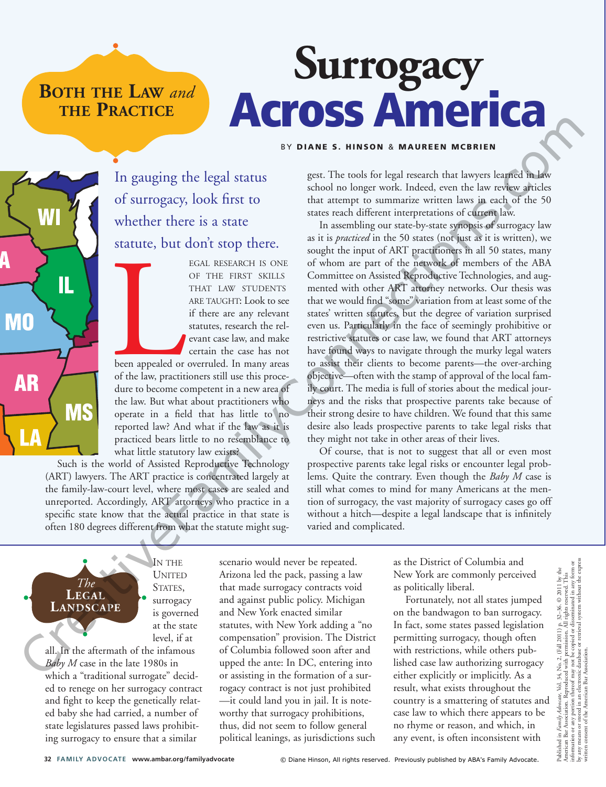**BOTH THE LAW** *and* **THE PRACTICE**

# **Surrogacy** Across America

#### BY DIANE S. HINSON & MAUREEN MCBRIEN

In gauging the legal status of surrogacy, look first to whether there is a state statute, but don't stop there.

> EGAL RESEARCH IS ONE OF THE FIRST SKILLS THAT LAW STUDENTS ARE TAUGHT: Look to see if there are any relevant statutes, research the relevant case law, and make certain the case has not

been appealed or been appealed or overruled. In many areas of the law, practitioners still use this procedure to become competent in a new area of the law. But what about practitioners who operate in a field that has little to no reported law? And what if the law as it is practiced bears little to no resemblance to what little statutory law exists?

Such is the world of Assisted Reproductive Technology (ART) lawyers. The ART practice is concentrated largely at the family-law-court level, where most cases are sealed and unreported. Accordingly, ART attorneys who practice in a specific state know that the actual practice in that state is often 180 degrees different from what the statute might suggest. The tools for legal research that lawyers learned in law school no longer work. Indeed, even the law review articles that attempt to summarize written laws in each of the 50 states reach different interpretations of current law.

In assembling our state-by-state synopsis of surrogacy law as it is *practiced* in the 50 states (not just as it is written), we sought the input of ART practitioners in all 50 states, many of whom are part of the network of members of the ABA Committee on Assisted Reproductive Technologies, and augmented with other ART attorney networks. Our thesis was that we would find "some" variation from at least some of the states' written statutes, but the degree of variation surprised even us. Particularly in the face of seemingly prohibitive or restrictive statutes or case law, we found that ART attorneys have found ways to navigate through the murky legal waters to assist their clients to become parents—the over-arching objective—often with the stamp of approval of the local family court. The media is full of stories about the medical journeys and the risks that prospective parents take because of their strong desire to have children. We found that this same desire also leads prospective parents to take legal risks that they might not take in other areas of their lives. The strainer of the same of the same of the same of the same of the same of the same of the same of the same of the same of the same of the same of the same of the same of the same of the same of the same of the same of t

Of course, that is not to suggest that all or even most prospective parents take legal risks or encounter legal problems. Quite the contrary. Even though the *Baby M* case is still what comes to mind for many Americans at the mention of surrogacy, the vast majority of surrogacy cases go off without a hitch—despite a legal landscape that is infinitely varied and complicated.

IN THE UNITED STATES, surrogacy is governed at the state level, if at

all. In the aftermath of the infamous *Baby M* case in the late 1980s in which a "traditional surrogate" decided to renege on her surrogacy contract and fight to keep the genetically related baby she had carried, a number of state legislatures passed laws prohibiting surrogacy to ensure that a similar

*The* **LEGAL LANDSCAPE**

scenario would never be repeated. Arizona led the pack, passing a law that made surrogacy contracts void and against public policy. Michigan and New York enacted similar statutes, with New York adding a "no compensation" provision. The District of Columbia followed soon after and upped the ante: In DC, entering into or assisting in the formation of a surrogacy contract is not just prohibited —it could land you in jail. It is noteworthy that surrogacy prohibitions, thus, did not seem to follow general political leanings, as jurisdictions such

as the District of Columbia and New York are commonly perceived as politically liberal.

Fortunately, not all states jumped on the bandwagon to ban surrogacy. In fact, some states passed legislation permitting surrogacy, though often with restrictions, while others published case law authorizing surrogacy either explicitly or implicitly. As a result, what exists throughout the country is a smattering of statutes and case law to which there appears to be no rhyme or reason, and which, in any event, is often inconsistent with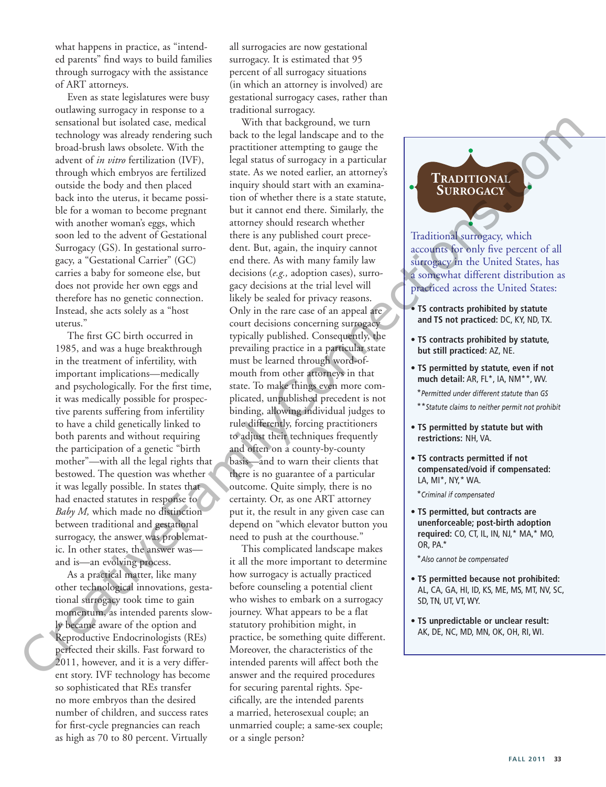what happens in practice, as "intended parents" find ways to build families through surrogacy with the assistance of ART attorneys.

Even as state legislatures were busy outlawing surrogacy in response to a sensational but isolated case, medical technology was already rendering such broad-brush laws obsolete. With the advent of *in vitro* fertilization (IVF), through which embryos are fertilized outside the body and then placed back into the uterus, it became possible for a woman to become pregnant with another woman's eggs, which soon led to the advent of Gestational Surrogacy (GS). In gestational surrogacy, a "Gestational Carrier" (GC) carries a baby for someone else, but does not provide her own eggs and therefore has no genetic connection. Instead, she acts solely as a "host uterus."

The first GC birth occurred in 1985, and was a huge breakthrough in the treatment of infertility, with important implications—medically and psychologically. For the first time, it was medically possible for prospective parents suffering from infertility to have a child genetically linked to both parents and without requiring the participation of a genetic "birth mother"—with all the legal rights that bestowed. The question was whether it was legally possible. In states that had enacted statutes in response to *Baby M,* which made no distinction between traditional and gestational surrogacy, the answer was problematic. In other states, the answer was and is—an evolving process.

As a practical matter, like many other technological innovations, gestational surrogacy took time to gain momentum, as intended parents slowly became aware of the option and Reproductive Endocrinologists (REs) perfected their skills. Fast forward to 2011, however, and it is a very different story. IVF technology has become so sophisticated that REs transfer no more embryos than the desired number of children, and success rates for first-cycle pregnancies can reach as high as 70 to 80 percent. Virtually

all surrogacies are now gestational surrogacy. It is estimated that 95 percent of all surrogacy situations (in which an attorney is involved) are gestational surrogacy cases, rather than traditional surrogacy.

With that background, we turn back to the legal landscape and to the practitioner attempting to gauge the legal status of surrogacy in a particular state. As we noted earlier, an attorney's inquiry should start with an examination of whether there is a state statute, but it cannot end there. Similarly, the attorney should research whether there is any published court precedent. But, again, the inquiry cannot end there. As with many family law decisions (*e.g.,* adoption cases), surrogacy decisions at the trial level will likely be sealed for privacy reasons. Only in the rare case of an appeal are court decisions concerning surrogacy typically published. Consequently, the prevailing practice in a particular state must be learned through word-ofmouth from other attorneys in that state. To make things even more complicated, unpublished precedent is not binding, allowing individual judges to rule differently, forcing practitioners to adjust their techniques frequently and often on a county-by-county basis—and to warn their clients that there is no guarantee of a particular outcome. Quite simply, there is no certainty. Or, as one ART attorney put it, the result in any given case can depend on "which elevator button you need to push at the courthouse." creational basebooks controlled by the line basebooks of the simulation of the controlled basebooks of the creative Family and the controlled basebook of the creative Family and the control of the simulation of the contro

This complicated landscape makes it all the more important to determine how surrogacy is actually practiced before counseling a potential client who wishes to embark on a surrogacy journey. What appears to be a flat statutory prohibition might, in practice, be something quite different. Moreover, the characteristics of the intended parents will affect both the answer and the required procedures for securing parental rights. Specifically, are the intended parents a married, heterosexual couple; an unmarried couple; a same-sex couple; or a single person?

# **TRADITIONAL SURROGACY**

Traditional surrogacy, which accounts for only five percent of all surrogacy in the United States, has a somewhat different distribution as practiced across the United States:

- **TS contracts prohibited by statute and TS not practiced:** DC, KY, ND, TX.
- **TS contracts prohibited by statute, but still practiced:** AZ, NE.
- **TS permitted by statute, even if not much detail:** AR, FL\*, IA, NM\*\*, WV. \**Permitted under different statute than GS*

\*\**Statute claims to neither permit not prohibit*

- **TS permitted by statute but with restrictions:** NH, VA.
- **TS contracts permitted if not compensated/void if compensated:** LA, MI\*, NY,\* WA.

\**Criminal if compensated*

**• TS permitted, but contracts are unenforceable; post-birth adoption required:** CO, CT, IL, IN, NJ,\* MA,\* MO, OR, PA.\*

\**Also cannot be compensated*

- **TS permitted because not prohibited:** AL, CA, GA, HI, ID, KS, ME, MS, MT, NV, SC, SD, TN, UT, VT, WY.
- **TS unpredictable or unclear result:** AK, DE, NC, MD, MN, OK, OH, RI, WI.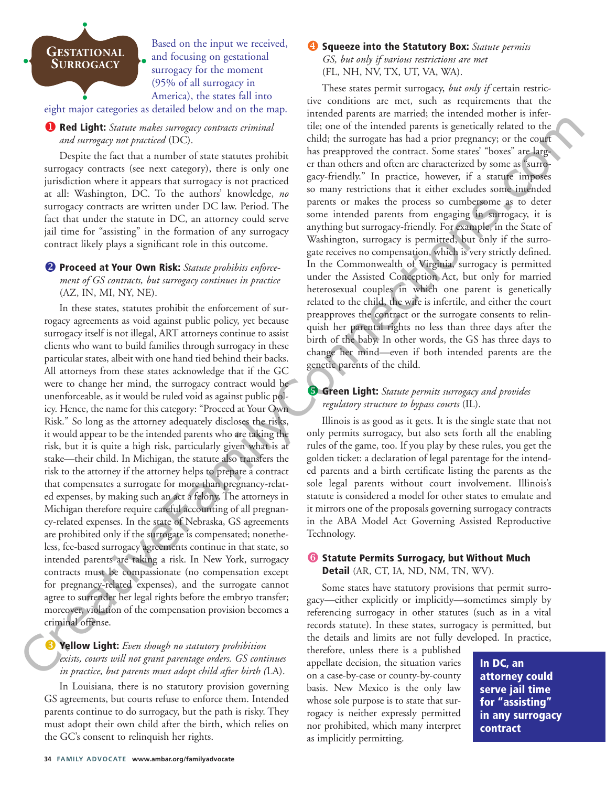

Based on the input we received, and focusing on gestational surrogacy for the moment (95% of all surrogacy in America), the states fall into eight major categories as detailed below and on the map.

#### ! Red Light: *Statute makes surrogacy contracts criminal and surrogacy not practiced* (DC).

Despite the fact that a number of state statutes prohibit surrogacy contracts (see next category), there is only one jurisdiction where it appears that surrogacy is not practiced at all: Washington, DC. To the authors' knowledge, *no* surrogacy contracts are written under DC law. Period. The fact that under the statute in DC, an attorney could serve jail time for "assisting" in the formation of any surrogacy contract likely plays a significant role in this outcome.

### <sup>2</sup> Proceed at Your Own Risk: Statute prohibits enforce*ment of GS contracts, but surrogacy continues in practice* (AZ, IN, MI, NY, NE).

In these states, statutes prohibit the enforcement of surrogacy agreements as void against public policy, yet because surrogacy itself is not illegal, ART attorneys continue to assist clients who want to build families through surrogacy in these particular states, albeit with one hand tied behind their backs. All attorneys from these states acknowledge that if the GC were to change her mind, the surrogacy contract would be unenforceable, as it would be ruled void as against public policy. Hence, the name for this category: "Proceed at Your Own Risk." So long as the attorney adequately discloses the risks, it would appear to be the intended parents who are taking the risk, but it is quite a high risk, particularly given what is at stake—their child. In Michigan, the statute also transfers the risk to the attorney if the attorney helps to prepare a contract that compensates a surrogate for more than pregnancy-related expenses, by making such an act a felony. The attorneys in Michigan therefore require careful accounting of all pregnancy-related expenses. In the state of Nebraska, GS agreements are prohibited only if the surrogate is compensated; nonetheless, fee-based surrogacy agreements continue in that state, so intended parents are taking a risk. In New York, surrogacy contracts must be compassionate (no compensation except for pregnancy-related expenses), and the surrogate cannot agree to surrender her legal rights before the embryo transfer; moreover, violation of the compensation provision becomes a criminal offense. **a Religion**t Some method in the case of the contribution of the contribution of the contribution of the control of the control of the control of the control of the control of the control of the control of the control of

# **8 Yellow Light:** *Even though no statutory prohibition exists, courts will not grant parentage orders. GS continues in practice, but parents must adopt child after birth (*LA).

In Louisiana, there is no statutory provision governing GS agreements, but courts refuse to enforce them. Intended parents continue to do surrogacy, but the path is risky. They must adopt their own child after the birth, which relies on the GC's consent to relinquish her rights.

#### **4** Squeeze into the Statutory Box: *Statute permits GS, but only if various restrictions are met* (FL, NH, NV, TX, UT, VA, WA).

These states permit surrogacy, *but only if* certain restrictive conditions are met, such as requirements that the intended parents are married; the intended mother is infertile; one of the intended parents is genetically related to the child; the surrogate has had a prior pregnancy; or the court has preapproved the contract. Some states' "boxes" are larger than others and often are characterized by some as "surrogacy-friendly." In practice, however, if a statute imposes so many restrictions that it either excludes some intended parents or makes the process so cumbersome as to deter some intended parents from engaging in surrogacy, it is anything but surrogacy-friendly. For example, in the State of Washington, surrogacy is permitted, but only if the surrogate receives no compensation, which is very strictly defined. In the Commonwealth of Virginia, surrogacy is permitted under the Assisted Conception Act, but only for married heterosexual couples in which one parent is genetically related to the child, the wife is infertile, and either the court preapproves the contract or the surrogate consents to relinquish her parental rights no less than three days after the birth of the baby. In other words, the GS has three days to change her mind—even if both intended parents are the genetic parents of the child.

# % Green Light: *Statute permits surrogacy and provides regulatory structure to bypass courts* (IL).

Illinois is as good as it gets. It is the single state that not only permits surrogacy, but also sets forth all the enabling rules of the game, too. If you play by these rules, you get the golden ticket: a declaration of legal parentage for the intended parents and a birth certificate listing the parents as the sole legal parents without court involvement. Illinois's statute is considered a model for other states to emulate and it mirrors one of the proposals governing surrogacy contracts in the ABA Model Act Governing Assisted Reproductive Technology.

#### **6** Statute Permits Surrogacy, but Without Much Detail (AR, CT, IA, ND, NM, TN, WV).

Some states have statutory provisions that permit surrogacy—either explicitly or implicitly—sometimes simply by referencing surrogacy in other statutes (such as in a vital records statute). In these states, surrogacy is permitted, but the details and limits are not fully developed. In practice,

therefore, unless there is a published appellate decision, the situation varies on a case-by-case or county-by-county basis. New Mexico is the only law whose sole purpose is to state that surrogacy is neither expressly permitted nor prohibited, which many interpret as implicitly permitting.

In DC, an attorney could serve jail time for "assisting" in any surrogacy contract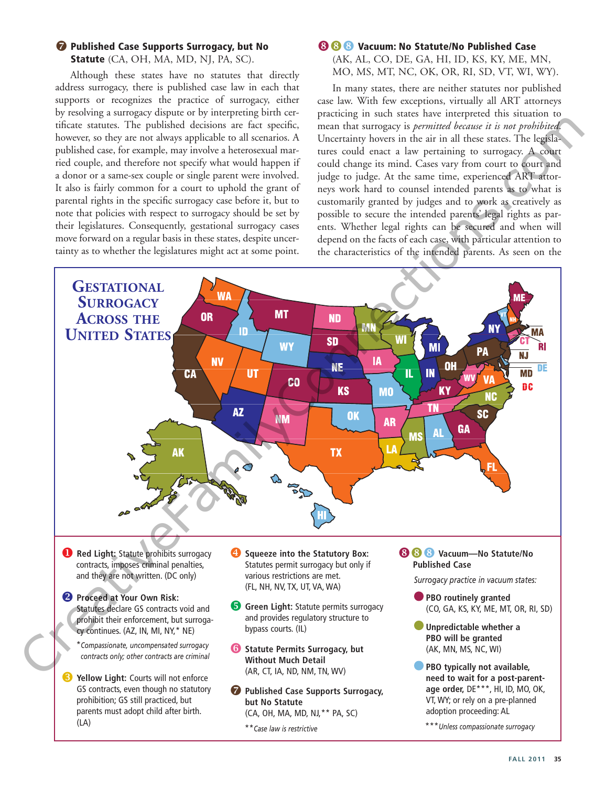#### *O* Published Case Supports Surrogacy, but No

Statute (CA, OH, MA, MD, NJ, PA, SC).

Although these states have no statutes that directly address surrogacy, there is published case law in each that supports or recognizes the practice of surrogacy, either by resolving a surrogacy dispute or by interpreting birth certificate statutes. The published decisions are fact specific, however, so they are not always applicable to all scenarios. A published case, for example, may involve a heterosexual married couple, and therefore not specify what would happen if a donor or a same-sex couple or single parent were involved. It also is fairly common for a court to uphold the grant of parental rights in the specific surrogacy case before it, but to note that policies with respect to surrogacy should be set by their legislatures. Consequently, gestational surrogacy cases move forward on a regular basis in these states, despite uncertainty as to whether the legislatures might act at some point.

## **(3 & Vacuum: No Statute/No Published Case**

(AK, AL, CO, DE, GA, HI, ID, KS, KY, ME, MN, MO, MS, MT, NC, OK, OR, RI, SD, VT, WI, WY).

In many states, there are neither statutes nor published case law. With few exceptions, virtually all ART attorneys practicing in such states have interpreted this situation to mean that surrogacy is *permitted because it is not prohibited*. Uncertainty hovers in the air in all these states. The legislatures could enact a law pertaining to surrogacy. A court could change its mind. Cases vary from court to court and judge to judge. At the same time, experienced ART attorneys work hard to counsel intended parents as to what is customarily granted by judges and to work as creatively as possible to secure the intended parents' legal rights as parents. Whether legal rights can be secured and when will depend on the facts of each case, with particular attention to the characteristics of the intended parents. As seen on the